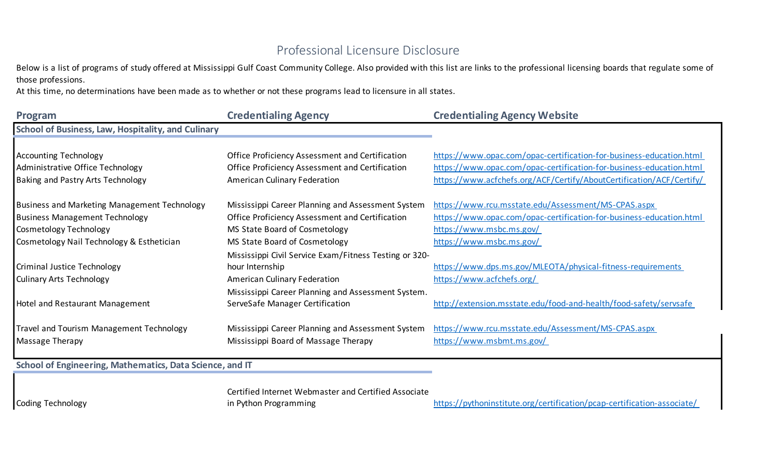## Professional Licensure Disclosure

Below is a list of programs of study offered at Mississippi Gulf Coast Community College. Also provided with this list are links to the professional licensing boards that regulate some of those professions.

At this time, no determinations have been made as to whether or not these programs lead to licensure in all states.

| Program                                                                                               | <b>Credentialing Agency</b>                                                                                                               | <b>Credentialing Agency Website</b>                                                                                                                                                                                |
|-------------------------------------------------------------------------------------------------------|-------------------------------------------------------------------------------------------------------------------------------------------|--------------------------------------------------------------------------------------------------------------------------------------------------------------------------------------------------------------------|
| <b>School of Business, Law, Hospitality, and Culinary</b>                                             |                                                                                                                                           |                                                                                                                                                                                                                    |
| <b>Accounting Technology</b><br>Administrative Office Technology<br>Baking and Pastry Arts Technology | Office Proficiency Assessment and Certification<br>Office Proficiency Assessment and Certification<br><b>American Culinary Federation</b> | https://www.opac.com/opac-certification-for-business-education.html<br>https://www.opac.com/opac-certification-for-business-education.html<br>https://www.acfchefs.org/ACF/Certify/AboutCertification/ACF/Certify/ |
| <b>Business and Marketing Management Technology</b>                                                   | Mississippi Career Planning and Assessment System                                                                                         | https://www.rcu.msstate.edu/Assessment/MS-CPAS.aspx                                                                                                                                                                |
| <b>Business Management Technology</b>                                                                 | Office Proficiency Assessment and Certification                                                                                           | https://www.opac.com/opac-certification-for-business-education.html                                                                                                                                                |
| Cosmetology Technology                                                                                | MS State Board of Cosmetology                                                                                                             | https://www.msbc.ms.gov/                                                                                                                                                                                           |
| Cosmetology Nail Technology & Esthetician                                                             | MS State Board of Cosmetology                                                                                                             | https://www.msbc.ms.gov/                                                                                                                                                                                           |
|                                                                                                       | Mississippi Civil Service Exam/Fitness Testing or 320-                                                                                    |                                                                                                                                                                                                                    |
| <b>Criminal Justice Technology</b>                                                                    | hour Internship                                                                                                                           | https://www.dps.ms.gov/MLEOTA/physical-fitness-requirements                                                                                                                                                        |
| <b>Culinary Arts Technology</b>                                                                       | American Culinary Federation                                                                                                              | https://www.acfchefs.org/                                                                                                                                                                                          |
|                                                                                                       | Mississippi Career Planning and Assessment System.                                                                                        |                                                                                                                                                                                                                    |
| Hotel and Restaurant Management                                                                       | ServeSafe Manager Certification                                                                                                           | http://extension.msstate.edu/food-and-health/food-safety/servsafe                                                                                                                                                  |
| Travel and Tourism Management Technology<br>Massage Therapy                                           | Mississippi Career Planning and Assessment System<br>Mississippi Board of Massage Therapy                                                 | https://www.rcu.msstate.edu/Assessment/MS-CPAS.aspx<br>https://www.msbmt.ms.gov/                                                                                                                                   |

**School of Engineering, Mathematics, Data Science, and IT**

Certified Internet Webmaster and Certified Associate

Coding Technology

in Python Programming https://pythoninstitute.org/certification/pcap-certification-associate/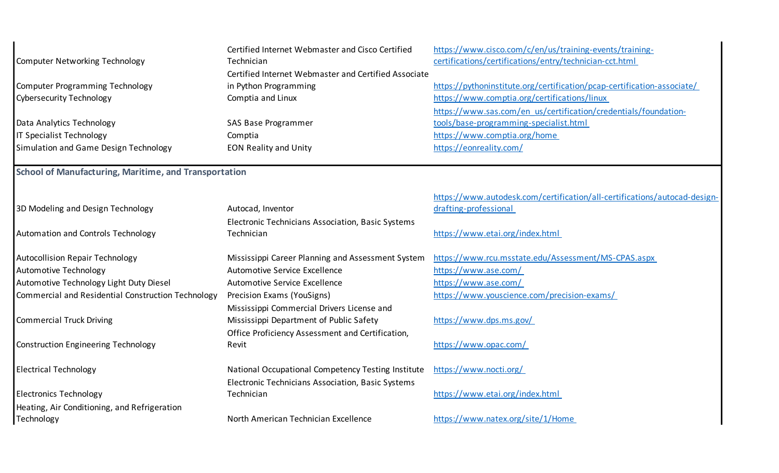| <b>Computer Networking Technology</b>                        | Certified Internet Webmaster and Cisco Certified<br>Technician | https://www.cisco.com/c/en/us/training-events/training-<br>certifications/certifications/entry/technician-cct.html |  |  |
|--------------------------------------------------------------|----------------------------------------------------------------|--------------------------------------------------------------------------------------------------------------------|--|--|
|                                                              | Certified Internet Webmaster and Certified Associate           |                                                                                                                    |  |  |
| Computer Programming Technology                              | in Python Programming                                          | https://pythoninstitute.org/certification/pcap-certification-associate/                                            |  |  |
| <b>Cybersecurity Technology</b>                              | Comptia and Linux                                              | https://www.comptia.org/certifications/linux                                                                       |  |  |
|                                                              |                                                                | https://www.sas.com/en_us/certification/credentials/foundation-                                                    |  |  |
| Data Analytics Technology                                    | SAS Base Programmer                                            | tools/base-programming-specialist.html                                                                             |  |  |
| IT Specialist Technology                                     | Comptia                                                        | https://www.comptia.org/home                                                                                       |  |  |
| Simulation and Game Design Technology                        | <b>EON Reality and Unity</b>                                   | https://eonreality.com/                                                                                            |  |  |
| <b>School of Manufacturing, Maritime, and Transportation</b> |                                                                |                                                                                                                    |  |  |
|                                                              |                                                                | https://www.autodesk.com/certification/all-certifications/autocad-design-                                          |  |  |
| 3D Modeling and Design Technology                            | Autocad, Inventor                                              | drafting-professional                                                                                              |  |  |
|                                                              | Electronic Technicians Association, Basic Systems              |                                                                                                                    |  |  |
| Automation and Controls Technology                           | Technician                                                     | https://www.etai.org/index.html                                                                                    |  |  |
| <b>Autocollision Repair Technology</b>                       | Mississippi Career Planning and Assessment System              | https://www.rcu.msstate.edu/Assessment/MS-CPAS.aspx                                                                |  |  |
| Automotive Technology                                        | Automotive Service Excellence                                  | https://www.ase.com/                                                                                               |  |  |
| Automotive Technology Light Duty Diesel                      | <b>Automotive Service Excellence</b>                           | https://www.ase.com/                                                                                               |  |  |
| Commercial and Residential Construction Technology           | Precision Exams (YouSigns)                                     | https://www.youscience.com/precision-exams/                                                                        |  |  |
|                                                              | Mississippi Commercial Drivers License and                     |                                                                                                                    |  |  |
| <b>Commercial Truck Driving</b>                              | Mississippi Department of Public Safety                        | https://www.dps.ms.gov/                                                                                            |  |  |
|                                                              | Office Proficiency Assessment and Certification,               |                                                                                                                    |  |  |
| <b>Construction Engineering Technology</b>                   | Revit                                                          | https://www.opac.com/                                                                                              |  |  |
| <b>Electrical Technology</b>                                 | National Occupational Competency Testing Institute             | https://www.nocti.org/                                                                                             |  |  |
|                                                              | Electronic Technicians Association, Basic Systems              |                                                                                                                    |  |  |
| <b>Electronics Technology</b>                                | Technician                                                     | https://www.etai.org/index.html                                                                                    |  |  |
| Heating, Air Conditioning, and Refrigeration                 |                                                                |                                                                                                                    |  |  |
| Technology                                                   | North American Technician Excellence                           | https://www.natex.org/site/1/Home                                                                                  |  |  |
|                                                              |                                                                |                                                                                                                    |  |  |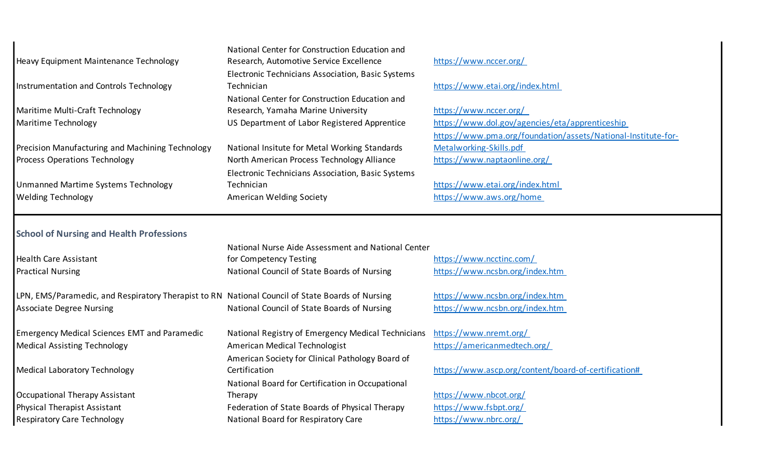| https://www.nccer.org/<br>Heavy Equipment Maintenance Technology<br>Research, Automotive Service Excellence<br>Electronic Technicians Association, Basic Systems<br>https://www.etai.org/index.html<br>Instrumentation and Controls Technology<br>Technician<br>National Center for Construction Education and<br>https://www.nccer.org/<br>Maritime Multi-Craft Technology<br>Research, Yamaha Marine University<br>https://www.dol.gov/agencies/eta/apprenticeship<br>US Department of Labor Registered Apprentice<br>Maritime Technology<br>https://www.pma.org/foundation/assets/National-Institute-for-<br>Metalworking-Skills.pdf<br>National Insitute for Metal Working Standards<br>https://www.naptaonline.org/<br>North American Process Technology Alliance<br>Electronic Technicians Association, Basic Systems<br>https://www.etai.org/index.html<br>Unmanned Martime Systems Technology<br>Technician<br>https://www.aws.org/home<br>American Welding Society<br><b>School of Nursing and Health Professions</b><br>National Nurse Aide Assessment and National Center<br>https://www.ncctinc.com/<br><b>Health Care Assistant</b><br>for Competency Testing<br>https://www.ncsbn.org/index.htm<br>National Council of State Boards of Nursing<br>https://www.ncsbn.org/index.htm<br>LPN, EMS/Paramedic, and Respiratory Therapist to RN National Council of State Boards of Nursing<br>https://www.ncsbn.org/index.htm<br>National Council of State Boards of Nursing<br>https://www.nremt.org/<br>National Registry of Emergency Medical Technicians<br>https://americanmedtech.org/<br><b>Medical Assisting Technology</b><br>American Medical Technologist<br>American Society for Clinical Pathology Board of<br>https://www.ascp.org/content/board-of-certification#<br>Certification<br>National Board for Certification in Occupational<br>https://www.nbcot.org/<br>Therapy<br>https://www.fsbpt.org/<br>Federation of State Boards of Physical Therapy<br>https://www.nbrc.org/<br><b>Respiratory Care Technology</b><br>National Board for Respiratory Care |                                                     | National Center for Construction Education and |  |
|--------------------------------------------------------------------------------------------------------------------------------------------------------------------------------------------------------------------------------------------------------------------------------------------------------------------------------------------------------------------------------------------------------------------------------------------------------------------------------------------------------------------------------------------------------------------------------------------------------------------------------------------------------------------------------------------------------------------------------------------------------------------------------------------------------------------------------------------------------------------------------------------------------------------------------------------------------------------------------------------------------------------------------------------------------------------------------------------------------------------------------------------------------------------------------------------------------------------------------------------------------------------------------------------------------------------------------------------------------------------------------------------------------------------------------------------------------------------------------------------------------------------------------------------------------------------------------------------------------------------------------------------------------------------------------------------------------------------------------------------------------------------------------------------------------------------------------------------------------------------------------------------------------------------------------------------------------------------------------------------------------------------------------------------------------------------------------------|-----------------------------------------------------|------------------------------------------------|--|
|                                                                                                                                                                                                                                                                                                                                                                                                                                                                                                                                                                                                                                                                                                                                                                                                                                                                                                                                                                                                                                                                                                                                                                                                                                                                                                                                                                                                                                                                                                                                                                                                                                                                                                                                                                                                                                                                                                                                                                                                                                                                                      |                                                     |                                                |  |
|                                                                                                                                                                                                                                                                                                                                                                                                                                                                                                                                                                                                                                                                                                                                                                                                                                                                                                                                                                                                                                                                                                                                                                                                                                                                                                                                                                                                                                                                                                                                                                                                                                                                                                                                                                                                                                                                                                                                                                                                                                                                                      |                                                     |                                                |  |
|                                                                                                                                                                                                                                                                                                                                                                                                                                                                                                                                                                                                                                                                                                                                                                                                                                                                                                                                                                                                                                                                                                                                                                                                                                                                                                                                                                                                                                                                                                                                                                                                                                                                                                                                                                                                                                                                                                                                                                                                                                                                                      |                                                     |                                                |  |
|                                                                                                                                                                                                                                                                                                                                                                                                                                                                                                                                                                                                                                                                                                                                                                                                                                                                                                                                                                                                                                                                                                                                                                                                                                                                                                                                                                                                                                                                                                                                                                                                                                                                                                                                                                                                                                                                                                                                                                                                                                                                                      |                                                     |                                                |  |
|                                                                                                                                                                                                                                                                                                                                                                                                                                                                                                                                                                                                                                                                                                                                                                                                                                                                                                                                                                                                                                                                                                                                                                                                                                                                                                                                                                                                                                                                                                                                                                                                                                                                                                                                                                                                                                                                                                                                                                                                                                                                                      |                                                     |                                                |  |
|                                                                                                                                                                                                                                                                                                                                                                                                                                                                                                                                                                                                                                                                                                                                                                                                                                                                                                                                                                                                                                                                                                                                                                                                                                                                                                                                                                                                                                                                                                                                                                                                                                                                                                                                                                                                                                                                                                                                                                                                                                                                                      |                                                     |                                                |  |
|                                                                                                                                                                                                                                                                                                                                                                                                                                                                                                                                                                                                                                                                                                                                                                                                                                                                                                                                                                                                                                                                                                                                                                                                                                                                                                                                                                                                                                                                                                                                                                                                                                                                                                                                                                                                                                                                                                                                                                                                                                                                                      |                                                     |                                                |  |
|                                                                                                                                                                                                                                                                                                                                                                                                                                                                                                                                                                                                                                                                                                                                                                                                                                                                                                                                                                                                                                                                                                                                                                                                                                                                                                                                                                                                                                                                                                                                                                                                                                                                                                                                                                                                                                                                                                                                                                                                                                                                                      | Precision Manufacturing and Machining Technology    |                                                |  |
|                                                                                                                                                                                                                                                                                                                                                                                                                                                                                                                                                                                                                                                                                                                                                                                                                                                                                                                                                                                                                                                                                                                                                                                                                                                                                                                                                                                                                                                                                                                                                                                                                                                                                                                                                                                                                                                                                                                                                                                                                                                                                      | Process Operations Technology                       |                                                |  |
|                                                                                                                                                                                                                                                                                                                                                                                                                                                                                                                                                                                                                                                                                                                                                                                                                                                                                                                                                                                                                                                                                                                                                                                                                                                                                                                                                                                                                                                                                                                                                                                                                                                                                                                                                                                                                                                                                                                                                                                                                                                                                      |                                                     |                                                |  |
|                                                                                                                                                                                                                                                                                                                                                                                                                                                                                                                                                                                                                                                                                                                                                                                                                                                                                                                                                                                                                                                                                                                                                                                                                                                                                                                                                                                                                                                                                                                                                                                                                                                                                                                                                                                                                                                                                                                                                                                                                                                                                      |                                                     |                                                |  |
|                                                                                                                                                                                                                                                                                                                                                                                                                                                                                                                                                                                                                                                                                                                                                                                                                                                                                                                                                                                                                                                                                                                                                                                                                                                                                                                                                                                                                                                                                                                                                                                                                                                                                                                                                                                                                                                                                                                                                                                                                                                                                      | <b>Welding Technology</b>                           |                                                |  |
|                                                                                                                                                                                                                                                                                                                                                                                                                                                                                                                                                                                                                                                                                                                                                                                                                                                                                                                                                                                                                                                                                                                                                                                                                                                                                                                                                                                                                                                                                                                                                                                                                                                                                                                                                                                                                                                                                                                                                                                                                                                                                      |                                                     |                                                |  |
|                                                                                                                                                                                                                                                                                                                                                                                                                                                                                                                                                                                                                                                                                                                                                                                                                                                                                                                                                                                                                                                                                                                                                                                                                                                                                                                                                                                                                                                                                                                                                                                                                                                                                                                                                                                                                                                                                                                                                                                                                                                                                      |                                                     |                                                |  |
|                                                                                                                                                                                                                                                                                                                                                                                                                                                                                                                                                                                                                                                                                                                                                                                                                                                                                                                                                                                                                                                                                                                                                                                                                                                                                                                                                                                                                                                                                                                                                                                                                                                                                                                                                                                                                                                                                                                                                                                                                                                                                      | <b>Practical Nursing</b>                            |                                                |  |
|                                                                                                                                                                                                                                                                                                                                                                                                                                                                                                                                                                                                                                                                                                                                                                                                                                                                                                                                                                                                                                                                                                                                                                                                                                                                                                                                                                                                                                                                                                                                                                                                                                                                                                                                                                                                                                                                                                                                                                                                                                                                                      |                                                     |                                                |  |
|                                                                                                                                                                                                                                                                                                                                                                                                                                                                                                                                                                                                                                                                                                                                                                                                                                                                                                                                                                                                                                                                                                                                                                                                                                                                                                                                                                                                                                                                                                                                                                                                                                                                                                                                                                                                                                                                                                                                                                                                                                                                                      | <b>Associate Degree Nursing</b>                     |                                                |  |
|                                                                                                                                                                                                                                                                                                                                                                                                                                                                                                                                                                                                                                                                                                                                                                                                                                                                                                                                                                                                                                                                                                                                                                                                                                                                                                                                                                                                                                                                                                                                                                                                                                                                                                                                                                                                                                                                                                                                                                                                                                                                                      |                                                     |                                                |  |
|                                                                                                                                                                                                                                                                                                                                                                                                                                                                                                                                                                                                                                                                                                                                                                                                                                                                                                                                                                                                                                                                                                                                                                                                                                                                                                                                                                                                                                                                                                                                                                                                                                                                                                                                                                                                                                                                                                                                                                                                                                                                                      |                                                     |                                                |  |
|                                                                                                                                                                                                                                                                                                                                                                                                                                                                                                                                                                                                                                                                                                                                                                                                                                                                                                                                                                                                                                                                                                                                                                                                                                                                                                                                                                                                                                                                                                                                                                                                                                                                                                                                                                                                                                                                                                                                                                                                                                                                                      | <b>Emergency Medical Sciences EMT and Paramedic</b> |                                                |  |
|                                                                                                                                                                                                                                                                                                                                                                                                                                                                                                                                                                                                                                                                                                                                                                                                                                                                                                                                                                                                                                                                                                                                                                                                                                                                                                                                                                                                                                                                                                                                                                                                                                                                                                                                                                                                                                                                                                                                                                                                                                                                                      |                                                     |                                                |  |
|                                                                                                                                                                                                                                                                                                                                                                                                                                                                                                                                                                                                                                                                                                                                                                                                                                                                                                                                                                                                                                                                                                                                                                                                                                                                                                                                                                                                                                                                                                                                                                                                                                                                                                                                                                                                                                                                                                                                                                                                                                                                                      |                                                     |                                                |  |
|                                                                                                                                                                                                                                                                                                                                                                                                                                                                                                                                                                                                                                                                                                                                                                                                                                                                                                                                                                                                                                                                                                                                                                                                                                                                                                                                                                                                                                                                                                                                                                                                                                                                                                                                                                                                                                                                                                                                                                                                                                                                                      | <b>Medical Laboratory Technology</b>                |                                                |  |
|                                                                                                                                                                                                                                                                                                                                                                                                                                                                                                                                                                                                                                                                                                                                                                                                                                                                                                                                                                                                                                                                                                                                                                                                                                                                                                                                                                                                                                                                                                                                                                                                                                                                                                                                                                                                                                                                                                                                                                                                                                                                                      | Occupational Therapy Assistant                      |                                                |  |
|                                                                                                                                                                                                                                                                                                                                                                                                                                                                                                                                                                                                                                                                                                                                                                                                                                                                                                                                                                                                                                                                                                                                                                                                                                                                                                                                                                                                                                                                                                                                                                                                                                                                                                                                                                                                                                                                                                                                                                                                                                                                                      | Physical Therapist Assistant                        |                                                |  |